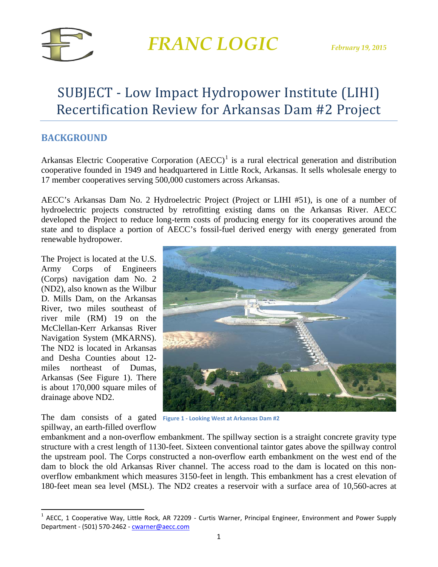

### SUBJECT - Low Impact Hydropower Institute (LIHI) Recertification Review for Arkansas Dam #2 Project

### **BACKGROUND**

Arkansas Electric Cooperative Corporation  $(AECC)^{1}$  $(AECC)^{1}$  $(AECC)^{1}$  is a rural electrical generation and distribution cooperative founded in 1949 and headquartered in Little Rock, Arkansas. It sells wholesale energy to 17 member cooperatives serving 500,000 customers across Arkansas.

AECC's Arkansas Dam No. 2 Hydroelectric Project (Project or LIHI #51), is one of a number of hydroelectric projects constructed by retrofitting existing dams on the Arkansas River. AECC developed the Project to reduce long-term costs of producing energy for its cooperatives around the state and to displace a portion of AECC's fossil-fuel derived energy with energy generated from renewable hydropower.

The Project is located at the U.S. Army Corps of Engineers (Corps) navigation dam No. 2 (ND2), also known as the Wilbur D. Mills Dam, on the Arkansas River, two miles southeast of river mile (RM) 19 on the McClellan-Kerr Arkansas River Navigation System (MKARNS). The ND2 is located in Arkansas and Desha Counties about 12 miles northeast of Dumas, Arkansas (See Figure 1). There is about 170,000 square miles of drainage above ND2.

The dam consists of a gated **Figure 1 - Looking West at Arkansas Dam #2**spillway, an earth-filled overflow



embankment and a non-overflow embankment. The spillway section is a straight concrete gravity type structure with a crest length of 1130-feet. Sixteen conventional taintor gates above the spillway control the upstream pool. The Corps constructed a non-overflow earth embankment on the west end of the dam to block the old Arkansas River channel. The access road to the dam is located on this nonoverflow embankment which measures 3150-feet in length. This embankment has a crest elevation of 180-feet mean sea level (MSL). The ND2 creates a reservoir with a surface area of 10,560-acres at

<span id="page-0-0"></span> $1$  AECC, 1 Cooperative Way, Little Rock, AR 72209 - Curtis Warner, Principal Engineer, Environment and Power Supply Department - (501) 570-2462 - [cwarner@aecc.com](mailto:cwarner@aecc.com)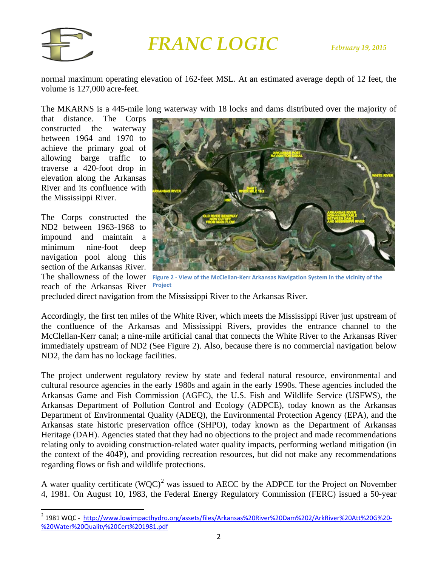

normal maximum operating elevation of 162-feet MSL. At an estimated average depth of 12 feet, the volume is 127,000 acre-feet.

The MKARNS is a 445-mile long waterway with 18 locks and dams distributed over the majority of

that distance. The Corps constructed the waterway between 1964 and 1970 to achieve the primary goal of allowing barge traffic to traverse a 420-foot drop in elevation along the Arkansas River and its confluence with the Mississippi River.

The Corps constructed the ND2 between 1963-1968 to impound and maintain a minimum nine-foot deep navigation pool along this section of the Arkansas River. reach of the Arkansas River



The shallowness of the lower **Figure 2 - View of the McClellan-Kerr Arkansas Navigation System in the vicinity of the Project**

precluded direct navigation from the Mississippi River to the Arkansas River.

Accordingly, the first ten miles of the White River, which meets the Mississippi River just upstream of the confluence of the Arkansas and Mississippi Rivers, provides the entrance channel to the McClellan-Kerr canal; a nine-mile artificial canal that connects the White River to the Arkansas River immediately upstream of ND2 (See Figure 2). Also, because there is no commercial navigation below ND2, the dam has no lockage facilities.

The project underwent regulatory review by state and federal natural resource, environmental and cultural resource agencies in the early 1980s and again in the early 1990s. These agencies included the Arkansas Game and Fish Commission (AGFC), the U.S. Fish and Wildlife Service (USFWS), the Arkansas Department of Pollution Control and Ecology (ADPCE), today known as the Arkansas Department of Environmental Quality (ADEQ), the Environmental Protection Agency (EPA), and the Arkansas state historic preservation office (SHPO), today known as the Department of Arkansas Heritage (DAH). Agencies stated that they had no objections to the project and made recommendations relating only to avoiding construction-related water quality impacts, performing wetland mitigation (in the context of the 404P), and providing recreation resources, but did not make any recommendations regarding flows or fish and wildlife protections.

A water quality certificate  $(WQC)^2$  $(WQC)^2$  was issued to AECC by the ADPCE for the Project on November 4, 1981. On August 10, 1983, the Federal Energy Regulatory Commission (FERC) issued a 50-year

<span id="page-1-0"></span><sup>&</sup>lt;sup>2</sup> 1981 WQC - [http://www.lowimpacthydro.org/assets/files/Arkansas%20River%20Dam%202/ArkRiver%20Att%20G%20-](http://www.lowimpacthydro.org/assets/files/Arkansas%20River%20Dam%202/ArkRiver%20Att%20G%20-%20Water%20Quality%20Cert%201981.pdf) [%20Water%20Quality%20Cert%201981.pdf](http://www.lowimpacthydro.org/assets/files/Arkansas%20River%20Dam%202/ArkRiver%20Att%20G%20-%20Water%20Quality%20Cert%201981.pdf)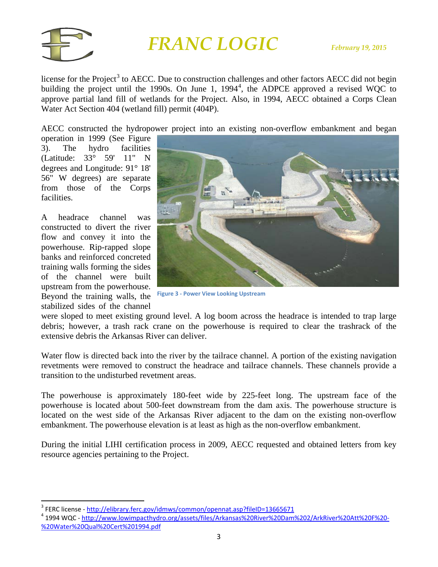

license for the Project<sup>[3](#page-2-0)</sup> to AECC. Due to construction challenges and other factors AECC did not begin building the project until the 1990s. On June 1,  $1994<sup>4</sup>$  $1994<sup>4</sup>$  $1994<sup>4</sup>$ , the ADPCE approved a revised WQC to approve partial land fill of wetlands for the Project. Also, in 1994, AECC obtained a Corps Clean Water Act Section 404 (wetland fill) permit (404P).

AECC constructed the hydropower project into an existing non-overflow embankment and began

operation in 1999 (See Figure 3). The hydro facilities (Latitude: 33° 59' 11" N degrees and Longitude: 91° 18' 56" W degrees) are separate from those of the Corps facilities.

A headrace channel was constructed to divert the river flow and convey it into the powerhouse. Rip-rapped slope banks and reinforced concreted training walls forming the sides of the channel were built upstream from the powerhouse. Beyond the training walls, the stabilized sides of the channel



**Figure 3 - Power View Looking Upstream**

were sloped to meet existing ground level. A log boom across the headrace is intended to trap large debris; however, a trash rack crane on the powerhouse is required to clear the trashrack of the extensive debris the Arkansas River can deliver.

Water flow is directed back into the river by the tailrace channel. A portion of the existing navigation revetments were removed to construct the headrace and tailrace channels. These channels provide a transition to the undisturbed revetment areas.

The powerhouse is approximately 180-feet wide by 225-feet long. The upstream face of the powerhouse is located about 500-feet downstream from the dam axis. The powerhouse structure is located on the west side of the Arkansas River adjacent to the dam on the existing non-overflow embankment. The powerhouse elevation is at least as high as the non-overflow embankment.

During the initial LIHI certification process in 2009, AECC requested and obtained letters from key resource agencies pertaining to the Project.

<span id="page-2-1"></span><span id="page-2-0"></span><sup>&</sup>lt;sup>3</sup> FERC license - <u><http://elibrary.ferc.gov/idmws/common/opennat.asp?fileID=13665671></u><br><sup>4</sup> 1994 WQC - h<u>ttp://www.lowimpacthydro.org/assets/files/Arkansas%20River%20Dam%202/ArkRiver%20Att%20F%20-</u> [%20Water%20Qual%20Cert%201994.pdf](http://www.lowimpacthydro.org/assets/files/Arkansas%20River%20Dam%202/ArkRiver%20Att%20F%20-%20Water%20Qual%20Cert%201994.pdf)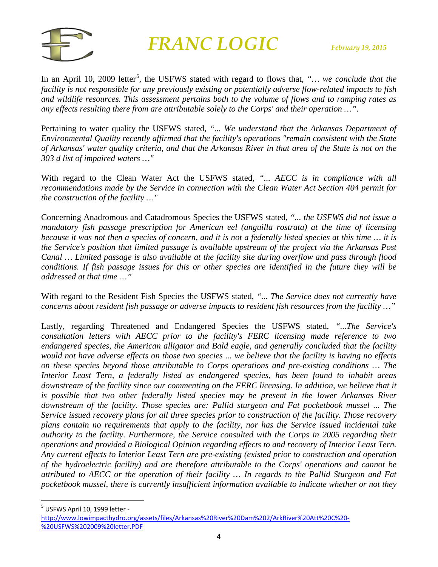

In an April 10, 2009 letter<sup>[5](#page-3-0)</sup>, the USFWS stated with regard to flows that, "... *we conclude that the facility is not responsible for any previously existing or potentially adverse flow-related impacts to fish and wildlife resources. This assessment pertains both to the volume of flows and to ramping rates as any effects resulting there from are attributable solely to the Corps' and their operation …".* 

Pertaining to water quality the USFWS stated, *"... We understand that the Arkansas Department of Environmental Quality recently affirmed that the facility's operations "remain consistent with the State of Arkansas' water quality criteria, and that the Arkansas River in that area of the State is not on the 303 d list of impaired waters …"*

With regard to the Clean Water Act the USFWS stated, *"... AECC is in compliance with all recommendations made by the Service in connection with the Clean Water Act Section 404 permit for the construction of the facility …"*

Concerning Anadromous and Catadromous Species the USFWS stated, *"... the USFWS did not issue a mandatory fish passage prescription for American eel (anguilla rostrata) at the time of licensing because it was not then a species of concern, and it is not a federally listed species at this time … it is the Service's position that limited passage is available upstream of the project via the Arkansas Post Canal … Limited passage is also available at the facility site during overflow and pass through flood conditions. If fish passage issues for this or other species are identified in the future they will be addressed at that time …"*

With regard to the Resident Fish Species the USFWS stated, *"... The Service does not currently have concerns about resident fish passage or adverse impacts to resident fish resources from the facility …"*

Lastly, regarding Threatened and Endangered Species the USFWS stated, *"...The Service's consultation letters with AECC prior to the facility's FERC licensing made reference to two endangered species, the American alligator and Bald eagle, and generally concluded that the facility would not have adverse effects on those two species ... we believe that the facility is having no effects on these species beyond those attributable to Corps operations and pre-existing conditions … The Interior Least Tern, a federally listed as endangered species, has been found to inhabit areas*  downstream of the facility since our commenting on the FERC licensing. In addition, we believe that it *is possible that two other federally listed species may be present in the lower Arkansas River downstream of the facility. Those species are: Pallid sturgeon and Fat pocketbook mussel ... The Service issued recovery plans for all three species prior to construction of the facility. Those recovery plans contain no requirements that apply to the facility, nor has the Service issued incidental take authority to the facility. Furthermore, the Service consulted with the Corps in 2005 regarding their operations and provided a Biological Opinion regarding effects to and recovery of Interior Least Tern. Any current effects to Interior Least Tern are pre-existing (existed prior to construction and operation of the hydroelectric facility) and are therefore attributable to the Corps' operations and cannot be attributed to AECC or the operation of their facility … In regards to the Pallid Sturgeon and Fat pocketbook mussel, there is currently insufficient information available to indicate whether or not they* 

<span id="page-3-0"></span>5 USFWS April 10, 1999 letter -

[http://www.lowimpacthydro.org/assets/files/Arkansas%20River%20Dam%202/ArkRiver%20Att%20C%20-](http://www.lowimpacthydro.org/assets/files/Arkansas%20River%20Dam%202/ArkRiver%20Att%20C%20-%20USFWS%202009%20letter.PDF) [%20USFWS%202009%20letter.PDF](http://www.lowimpacthydro.org/assets/files/Arkansas%20River%20Dam%202/ArkRiver%20Att%20C%20-%20USFWS%202009%20letter.PDF)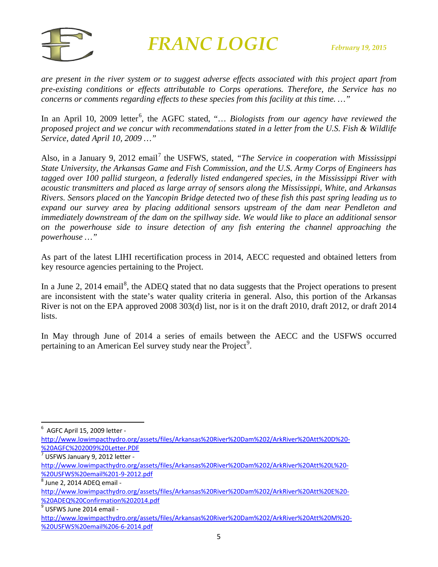

*are present in the river system or to suggest adverse effects associated with this project apart from pre-existing conditions or effects attributable to Corps operations. Therefore, the Service has no concerns or comments regarding effects to these species from this facility at this time. …"*

In an April 10, 2009 letter<sup>[6](#page-4-0)</sup>, the AGFC stated, "... *Biologists from our agency have reviewed the proposed project and we concur with recommendations stated in a letter from the U.S. Fish & Wildlife Service, dated April 10, 2009 …"*

Also, in a January 9, 2012 email<sup>[7](#page-4-1)</sup> the USFWS, stated, *"The Service in cooperation with Mississippi State University, the Arkansas Game and Fish Commission, and the U.S. Army Corps of Engineers has tagged over 100 pallid sturgeon, a federally listed endangered species, in the Mississippi River with acoustic transmitters and placed as large array of sensors along the Mississippi, White, and Arkansas Rivers. Sensors placed on the Yancopin Bridge detected two of these fish this past spring leading us to expand our survey area by placing additional sensors upstream of the dam near Pendleton and immediately downstream of the dam on the spillway side. We would like to place an additional sensor on the powerhouse side to insure detection of any fish entering the channel approaching the powerhouse …"*

As part of the latest LIHI recertification process in 2014, AECC requested and obtained letters from key resource agencies pertaining to the Project.

In a June 2, 2014 email<sup>[8](#page-4-2)</sup>, the ADEQ stated that no data suggests that the Project operations to present are inconsistent with the state's water quality criteria in general. Also, this portion of the Arkansas River is not on the EPA approved 2008 303(d) list, nor is it on the draft 2010, draft 2012, or draft 2014 lists.

In May through June of 2014 a series of emails between the AECC and the USFWS occurred pertaining to an American Eel survey study near the Project<sup>[9](#page-4-3)</sup>.

<span id="page-4-0"></span> 6  $6$  AGFC April 15, 2009 letter -

[http://www.lowimpacthydro.org/assets/files/Arkansas%20River%20Dam%202/ArkRiver%20Att%20D%20-](http://www.lowimpacthydro.org/assets/files/Arkansas%20River%20Dam%202/ArkRiver%20Att%20D%20-%20AGFC%202009%20Letter.PDF) [%20AGFC%202009%20Letter.PDF](http://www.lowimpacthydro.org/assets/files/Arkansas%20River%20Dam%202/ArkRiver%20Att%20D%20-%20AGFC%202009%20Letter.PDF)

<span id="page-4-1"></span> $\frac{1}{7}$  USFWS January 9, 2012 letter -

[http://www.lowimpacthydro.org/assets/files/Arkansas%20River%20Dam%202/ArkRiver%20Att%20L%20-](http://www.lowimpacthydro.org/assets/files/Arkansas%20River%20Dam%202/ArkRiver%20Att%20L%20-%20USFWS%20email%201-9-2012.pdf) [%20USFWS%20email%201-9-2012.pdf](http://www.lowimpacthydro.org/assets/files/Arkansas%20River%20Dam%202/ArkRiver%20Att%20L%20-%20USFWS%20email%201-9-2012.pdf)<br><sup>8</sup> June 2, 2014 ADEQ email -

<span id="page-4-2"></span>

[http://www.lowimpacthydro.org/assets/files/Arkansas%20River%20Dam%202/ArkRiver%20Att%20E%20-](http://www.lowimpacthydro.org/assets/files/Arkansas%20River%20Dam%202/ArkRiver%20Att%20E%20-%20ADEQ%20Confirmation%202014.pdf) [%20ADEQ%20Confirmation%202014.pdf](http://www.lowimpacthydro.org/assets/files/Arkansas%20River%20Dam%202/ArkRiver%20Att%20E%20-%20ADEQ%20Confirmation%202014.pdf)

<span id="page-4-3"></span> $9$  USFWS June 2014 email -

[http://www.lowimpacthydro.org/assets/files/Arkansas%20River%20Dam%202/ArkRiver%20Att%20M%20-](http://www.lowimpacthydro.org/assets/files/Arkansas%20River%20Dam%202/ArkRiver%20Att%20M%20-%20USFWS%20email%206-6-2014.pdf) [%20USFWS%20email%206-6-2014.pdf](http://www.lowimpacthydro.org/assets/files/Arkansas%20River%20Dam%202/ArkRiver%20Att%20M%20-%20USFWS%20email%206-6-2014.pdf)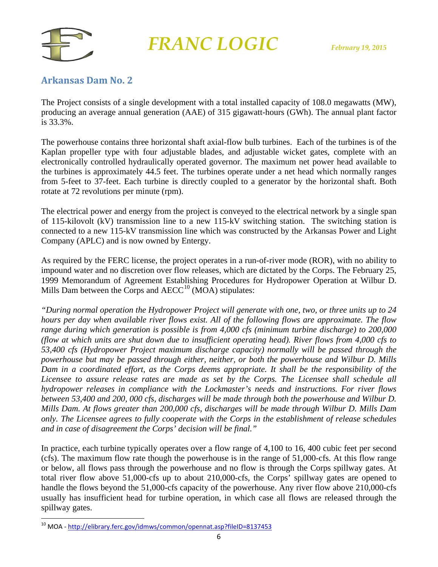

#### **Arkansas Dam No. 2**

The Project consists of a single development with a total installed capacity of 108.0 megawatts (MW), producing an average annual generation (AAE) of 315 gigawatt-hours (GWh). The annual plant factor is 33.3%.

The powerhouse contains three horizontal shaft axial-flow bulb turbines. Each of the turbines is of the Kaplan propeller type with four adjustable blades, and adjustable wicket gates, complete with an electronically controlled hydraulically operated governor. The maximum net power head available to the turbines is approximately 44.5 feet. The turbines operate under a net head which normally ranges from 5-feet to 37-feet. Each turbine is directly coupled to a generator by the horizontal shaft. Both rotate at 72 revolutions per minute (rpm).

The electrical power and energy from the project is conveyed to the electrical network by a single span of 115-kilovolt (kV) transmission line to a new 115-kV switching station. The switching station is connected to a new 115-kV transmission line which was constructed by the Arkansas Power and Light Company (APLC) and is now owned by Entergy.

As required by the FERC license, the project operates in a run-of-river mode (ROR), with no ability to impound water and no discretion over flow releases, which are dictated by the Corps. The February 25, 1999 Memorandum of Agreement Establishing Procedures for Hydropower Operation at Wilbur D. Mills Dam between the Corps and  $\text{AECC}^{10}$  $\text{AECC}^{10}$  $\text{AECC}^{10}$  (MOA) stipulates:

*"During normal operation the Hydropower Project will generate with one, two, or three units up to 24 hours per day when available river flows exist. All of the following flows are approximate. The flow range during which generation is possible is from 4,000 cfs (minimum turbine discharge) to 200,000 (flow at which units are shut down due to insufficient operating head). River flows from 4,000 cfs to 53,400 cfs (Hydropower Project maximum discharge capacity) normally will be passed through the powerhouse but may be passed through either, neither, or both the powerhouse and Wilbur D. Mills Dam in a coordinated effort, as the Corps deems appropriate. It shall be the responsibility of the Licensee to assure release rates are made as set by the Corps. The Licensee shall schedule all hydropower releases in compliance with the Lockmaster's needs and instructions. For river flows between 53,400 and 200, 000 cfs, discharges will be made through both the powerhouse and Wilbur D. Mills Dam. At flows greater than 200,000 cfs, discharges will be made through Wilbur D. Mills Dam only. The Licensee agrees to fully cooperate with the Corps in the establishment of release schedules and in case of disagreement the Corps' decision will be final."*

In practice, each turbine typically operates over a flow range of 4,100 to 16, 400 cubic feet per second (cfs). The maximum flow rate though the powerhouse is in the range of 51,000-cfs. At this flow range or below, all flows pass through the powerhouse and no flow is through the Corps spillway gates. At total river flow above 51,000-cfs up to about 210,000-cfs, the Corps' spillway gates are opened to handle the flows beyond the 51,000-cfs capacity of the powerhouse. Any river flow above 210,000-cfs usually has insufficient head for turbine operation, in which case all flows are released through the spillway gates.

<span id="page-5-0"></span><sup>&</sup>lt;sup>10</sup> MOA - <http://elibrary.ferc.gov/idmws/common/opennat.asp?fileID=8137453>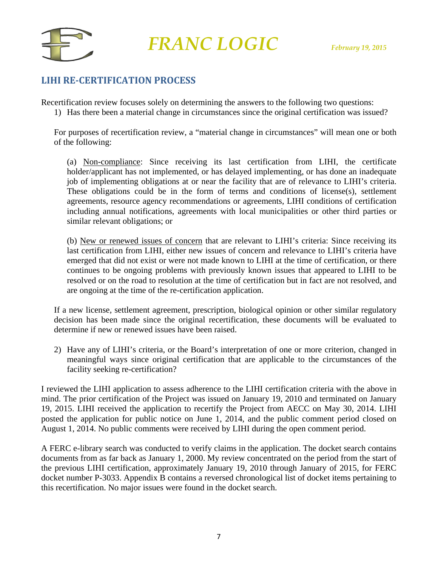

### **LIHI RE-CERTIFICATION PROCESS**

Recertification review focuses solely on determining the answers to the following two questions:

1) Has there been a material change in circumstances since the original certification was issued?

For purposes of recertification review, a "material change in circumstances" will mean one or both of the following:

(a) Non-compliance: Since receiving its last certification from LIHI, the certificate holder/applicant has not implemented, or has delayed implementing, or has done an inadequate job of implementing obligations at or near the facility that are of relevance to LIHI's criteria. These obligations could be in the form of terms and conditions of license(s), settlement agreements, resource agency recommendations or agreements, LIHI conditions of certification including annual notifications, agreements with local municipalities or other third parties or similar relevant obligations; or

(b) New or renewed issues of concern that are relevant to LIHI's criteria: Since receiving its last certification from LIHI, either new issues of concern and relevance to LIHI's criteria have emerged that did not exist or were not made known to LIHI at the time of certification, or there continues to be ongoing problems with previously known issues that appeared to LIHI to be resolved or on the road to resolution at the time of certification but in fact are not resolved, and are ongoing at the time of the re-certification application.

If a new license, settlement agreement, prescription, biological opinion or other similar regulatory decision has been made since the original recertification, these documents will be evaluated to determine if new or renewed issues have been raised.

2) Have any of LIHI's criteria, or the Board's interpretation of one or more criterion, changed in meaningful ways since original certification that are applicable to the circumstances of the facility seeking re-certification?

I reviewed the LIHI application to assess adherence to the LIHI certification criteria with the above in mind. The prior certification of the Project was issued on January 19, 2010 and terminated on January 19, 2015. LIHI received the application to recertify the Project from AECC on May 30, 2014. LIHI posted the application for public notice on June 1, 2014, and the public comment period closed on August 1, 2014. No public comments were received by LIHI during the open comment period.

A FERC e-library search was conducted to verify claims in the application. The docket search contains documents from as far back as January 1, 2000. My review concentrated on the period from the start of the previous LIHI certification, approximately January 19, 2010 through January of 2015, for FERC docket number P-3033. Appendix B contains a reversed chronological list of docket items pertaining to this recertification. No major issues were found in the docket search.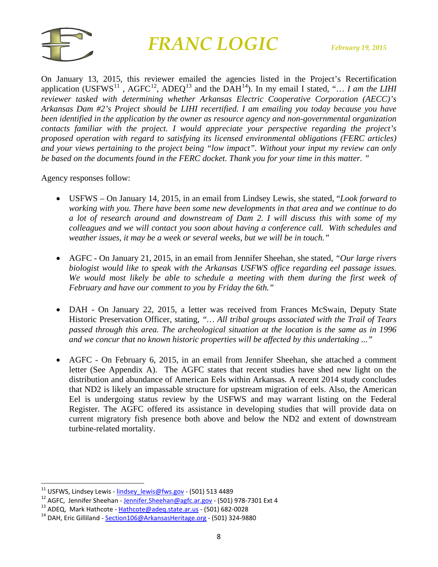

On January 13, 2015, this reviewer emailed the agencies listed in the Project's Recertification application (USFWS<sup>[11](#page-7-0)</sup>, AGFC<sup>[12](#page-7-1)</sup>, ADEQ<sup>[13](#page-7-2)</sup> and the DAH<sup>[14](#page-7-3)</sup>). In my email I stated, "... I am the LIHI *reviewer tasked with determining whether Arkansas Electric Cooperative Corporation (AECC)'s Arkansas Dam #2's Project should be LIHI recertified. I am emailing you today because you have been identified in the application by the owner as resource agency and non-governmental organization contacts familiar with the project. I would appreciate your perspective regarding the project's proposed operation with regard to satisfying its licensed environmental obligations (FERC articles) and your views pertaining to the project being "low impact". Without your input my review can only be based on the documents found in the FERC docket. Thank you for your time in this matter. "*

#### Agency responses follow:

- USFWS On January 14, 2015, in an email from Lindsey Lewis, she stated, "*Look forward to working with you. There have been some new developments in that area and we continue to do a lot of research around and downstream of Dam 2. I will discuss this with some of my colleagues and we will contact you soon about having a conference call. With schedules and weather issues, it may be a week or several weeks, but we will be in touch."*
- AGFC On January 21, 2015, in an email from Jennifer Sheehan, she stated, *"Our large rivers biologist would like to speak with the Arkansas USFWS office regarding eel passage issues. We would most likely be able to schedule a meeting with them during the first week of February and have our comment to you by Friday the 6th."*
- DAH On January 22, 2015, a letter was received from Frances McSwain, Deputy State Historic Preservation Officer, stating, *"… All tribal groups associated with the Trail of Tears passed through this area. The archeological situation at the location is the same as in 1996 and we concur that no known historic properties will be affected by this undertaking ..."*
- AGFC On February 6, 2015, in an email from Jennifer Sheehan, she attached a comment letter (See Appendix A). The AGFC states that recent studies have shed new light on the distribution and abundance of American Eels within Arkansas. A recent 2014 study concludes that ND2 is likely an impassable structure for upstream migration of eels. Also, the American Eel is undergoing status review by the USFWS and may warrant listing on the Federal Register. The AGFC offered its assistance in developing studies that will provide data on current migratory fish presence both above and below the ND2 and extent of downstream turbine-related mortality.

<span id="page-7-1"></span><span id="page-7-0"></span><sup>&</sup>lt;sup>11</sup> USFWS, Lindsey Lewis - <u>lindsey lewis@fws.gov</u> - (501) 513 4489<br><sup>12</sup> AGFC, Jennifer Sheehan - <u>[Jennifer.Sheehan@agfc.ar.gov](mailto:Jennifer.Sheehan@agfc.ar.gov)</u> - (501) 978-7301 Ext 4<br><sup>13</sup> ADEQ, Mark Hathcote - <u>[Hathcote@adeq.state.ar.us](mailto:Hathcote@adeq.state.ar.us)</u> - (501) 682-0

<span id="page-7-2"></span>

<span id="page-7-3"></span>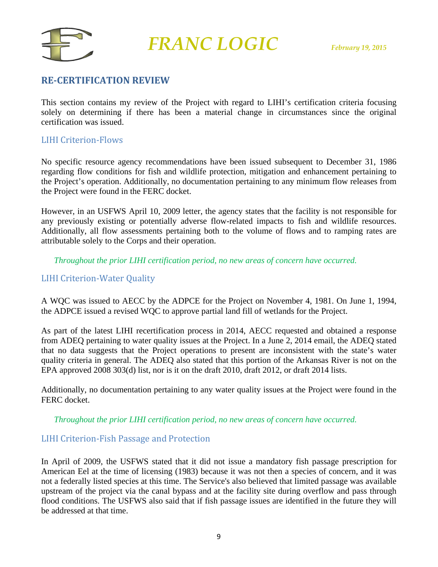

#### **RE-CERTIFICATION REVIEW**

This section contains my review of the Project with regard to LIHI's certification criteria focusing solely on determining if there has been a material change in circumstances since the original certification was issued.

#### LIHI Criterion-Flows

No specific resource agency recommendations have been issued subsequent to December 31, 1986 regarding flow conditions for fish and wildlife protection, mitigation and enhancement pertaining to the Project's operation. Additionally, no documentation pertaining to any minimum flow releases from the Project were found in the FERC docket.

However, in an USFWS April 10, 2009 letter, the agency states that the facility is not responsible for any previously existing or potentially adverse flow-related impacts to fish and wildlife resources. Additionally, all flow assessments pertaining both to the volume of flows and to ramping rates are attributable solely to the Corps and their operation.

*Throughout the prior LIHI certification period, no new areas of concern have occurred.*

#### LIHI Criterion-Water Quality

A WQC was issued to AECC by the ADPCE for the Project on November 4, 1981. On June 1, 1994, the ADPCE issued a revised WQC to approve partial land fill of wetlands for the Project.

As part of the latest LIHI recertification process in 2014, AECC requested and obtained a response from ADEQ pertaining to water quality issues at the Project. In a June 2, 2014 email, the ADEQ stated that no data suggests that the Project operations to present are inconsistent with the state's water quality criteria in general. The ADEQ also stated that this portion of the Arkansas River is not on the EPA approved 2008 303(d) list, nor is it on the draft 2010, draft 2012, or draft 2014 lists.

Additionally, no documentation pertaining to any water quality issues at the Project were found in the FERC docket.

*Throughout the prior LIHI certification period, no new areas of concern have occurred.*

#### LIHI Criterion-Fish Passage and Protection

In April of 2009, the USFWS stated that it did not issue a mandatory fish passage prescription for American Eel at the time of licensing (1983) because it was not then a species of concern, and it was not a federally listed species at this time. The Service's also believed that limited passage was available upstream of the project via the canal bypass and at the facility site during overflow and pass through flood conditions. The USFWS also said that if fish passage issues are identified in the future they will be addressed at that time.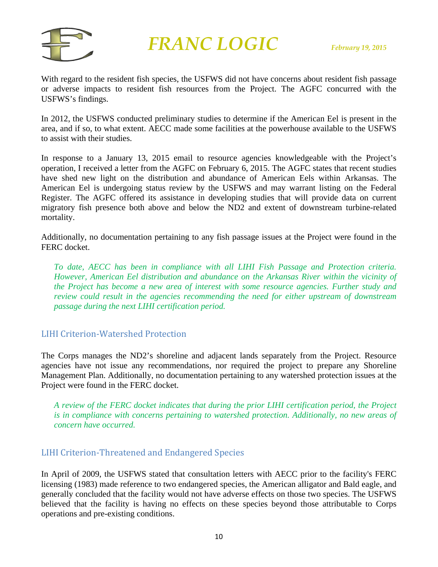

With regard to the resident fish species, the USFWS did not have concerns about resident fish passage or adverse impacts to resident fish resources from the Project. The AGFC concurred with the USFWS's findings.

In 2012, the USFWS conducted preliminary studies to determine if the American Eel is present in the area, and if so, to what extent. AECC made some facilities at the powerhouse available to the USFWS to assist with their studies.

In response to a January 13, 2015 email to resource agencies knowledgeable with the Project's operation, I received a letter from the AGFC on February 6, 2015. The AGFC states that recent studies have shed new light on the distribution and abundance of American Eels within Arkansas. The American Eel is undergoing status review by the USFWS and may warrant listing on the Federal Register. The AGFC offered its assistance in developing studies that will provide data on current migratory fish presence both above and below the ND2 and extent of downstream turbine-related mortality.

Additionally, no documentation pertaining to any fish passage issues at the Project were found in the FERC docket.

*To date, AECC has been in compliance with all LIHI Fish Passage and Protection criteria. However, American Eel distribution and abundance on the Arkansas River within the vicinity of the Project has become a new area of interest with some resource agencies. Further study and review could result in the agencies recommending the need for either upstream of downstream passage during the next LIHI certification period.* 

#### LIHI Criterion-Watershed Protection

The Corps manages the ND2's shoreline and adjacent lands separately from the Project. Resource agencies have not issue any recommendations, nor required the project to prepare any Shoreline Management Plan. Additionally, no documentation pertaining to any watershed protection issues at the Project were found in the FERC docket.

*A review of the FERC docket indicates that during the prior LIHI certification period, the Project is in compliance with concerns pertaining to watershed protection. Additionally, no new areas of concern have occurred.*

#### LIHI Criterion-Threatened and Endangered Species

In April of 2009, the USFWS stated that consultation letters with AECC prior to the facility's FERC licensing (1983) made reference to two endangered species, the American alligator and Bald eagle, and generally concluded that the facility would not have adverse effects on those two species. The USFWS believed that the facility is having no effects on these species beyond those attributable to Corps operations and pre-existing conditions.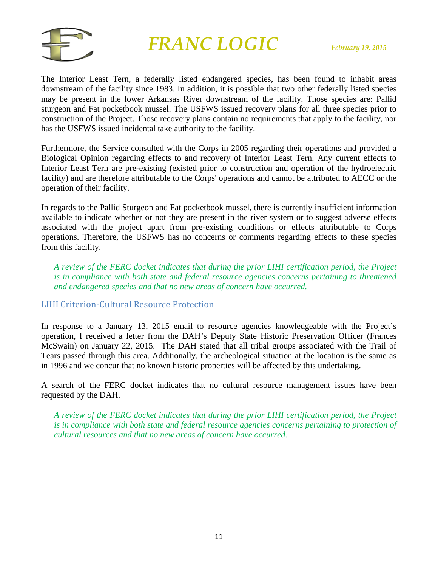

The Interior Least Tern, a federally listed endangered species, has been found to inhabit areas downstream of the facility since 1983. In addition, it is possible that two other federally listed species may be present in the lower Arkansas River downstream of the facility. Those species are: Pallid sturgeon and Fat pocketbook mussel. The USFWS issued recovery plans for all three species prior to construction of the Project. Those recovery plans contain no requirements that apply to the facility, nor has the USFWS issued incidental take authority to the facility.

Furthermore, the Service consulted with the Corps in 2005 regarding their operations and provided a Biological Opinion regarding effects to and recovery of Interior Least Tern. Any current effects to Interior Least Tern are pre-existing (existed prior to construction and operation of the hydroelectric facility) and are therefore attributable to the Corps' operations and cannot be attributed to AECC or the operation of their facility.

In regards to the Pallid Sturgeon and Fat pocketbook mussel, there is currently insufficient information available to indicate whether or not they are present in the river system or to suggest adverse effects associated with the project apart from pre-existing conditions or effects attributable to Corps operations. Therefore, the USFWS has no concerns or comments regarding effects to these species from this facility.

*A review of the FERC docket indicates that during the prior LIHI certification period, the Project is in compliance with both state and federal resource agencies concerns pertaining to threatened and endangered species and that no new areas of concern have occurred.*

LIHI Criterion-Cultural Resource Protection

In response to a January 13, 2015 email to resource agencies knowledgeable with the Project's operation, I received a letter from the DAH's Deputy State Historic Preservation Officer (Frances McSwain) on January 22, 2015. The DAH stated that all tribal groups associated with the Trail of Tears passed through this area. Additionally, the archeological situation at the location is the same as in 1996 and we concur that no known historic properties will be affected by this undertaking.

A search of the FERC docket indicates that no cultural resource management issues have been requested by the DAH.

*A review of the FERC docket indicates that during the prior LIHI certification period, the Project is in compliance with both state and federal resource agencies concerns pertaining to protection of cultural resources and that no new areas of concern have occurred.*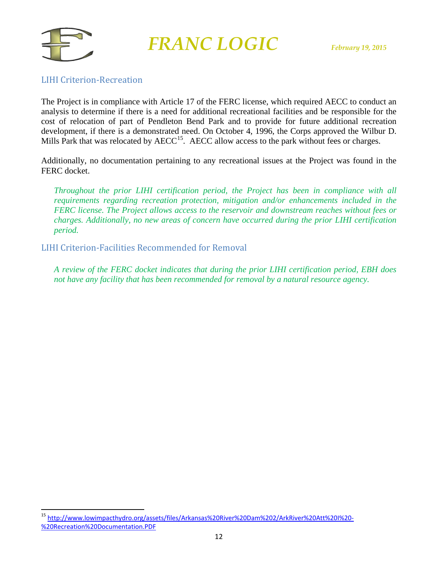

#### LIHI Criterion-Recreation

The Project is in compliance with Article 17 of the FERC license, which required AECC to conduct an analysis to determine if there is a need for additional recreational facilities and be responsible for the cost of relocation of part of Pendleton Bend Park and to provide for future additional recreation development, if there is a demonstrated need. On October 4, 1996, the Corps approved the Wilbur D. Mills Park that was relocated by  $\text{AECC}^{15}$  $\text{AECC}^{15}$  $\text{AECC}^{15}$ . AECC allow access to the park without fees or charges.

Additionally, no documentation pertaining to any recreational issues at the Project was found in the FERC docket.

*Throughout the prior LIHI certification period, the Project has been in compliance with all requirements regarding recreation protection, mitigation and/or enhancements included in the FERC license. The Project allows access to the reservoir and downstream reaches without fees or charges. Additionally, no new areas of concern have occurred during the prior LIHI certification period.*

LIHI Criterion-Facilities Recommended for Removal

*A review of the FERC docket indicates that during the prior LIHI certification period, EBH does not have any facility that has been recommended for removal by a natural resource agency.*

<span id="page-11-0"></span> <sup>15</sup> [http://www.lowimpacthydro.org/assets/files/Arkansas%20River%20Dam%202/ArkRiver%20Att%20I%20-](http://www.lowimpacthydro.org/assets/files/Arkansas%20River%20Dam%202/ArkRiver%20Att%20I%20-%20Recreation%20Documentation.PDF) [%20Recreation%20Documentation.PDF](http://www.lowimpacthydro.org/assets/files/Arkansas%20River%20Dam%202/ArkRiver%20Att%20I%20-%20Recreation%20Documentation.PDF)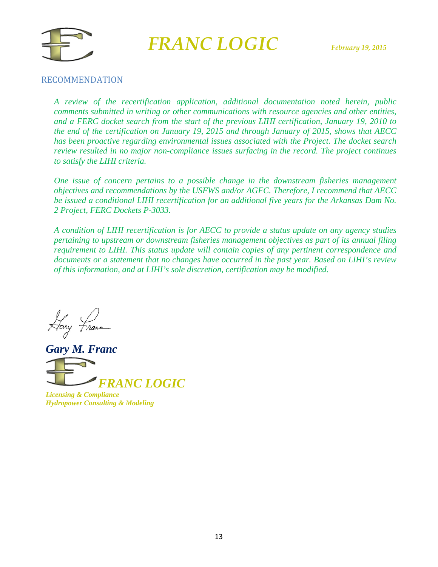



#### RECOMMENDATION

*A review of the recertification application, additional documentation noted herein, public comments submitted in writing or other communications with resource agencies and other entities, and a FERC docket search from the start of the previous LIHI certification, January 19, 2010 to the end of the certification on January 19, 2015 and through January of 2015, shows that AECC has been proactive regarding environmental issues associated with the Project. The docket search review resulted in no major non-compliance issues surfacing in the record. The project continues to satisfy the LIHI criteria.*

*One issue of concern pertains to a possible change in the downstream fisheries management objectives and recommendations by the USFWS and/or AGFC. Therefore, I recommend that AECC be issued a conditional LIHI recertification for an additional five years for the Arkansas Dam No. 2 Project, FERC Dockets P-3033.*

*A condition of LIHI recertification is for AECC to provide a status update on any agency studies pertaining to upstream or downstream fisheries management objectives as part of its annual filing requirement to LIHI. This status update will contain copies of any pertinent correspondence and documents or a statement that no changes have occurred in the past year. Based on LIHI's review of this information, and at LIHI's sole discretion, certification may be modified.* 

Hary France

*Gary M. Franc FRANC LOGIC*

*Licensing & Compliance Hydropower Consulting & Modeling*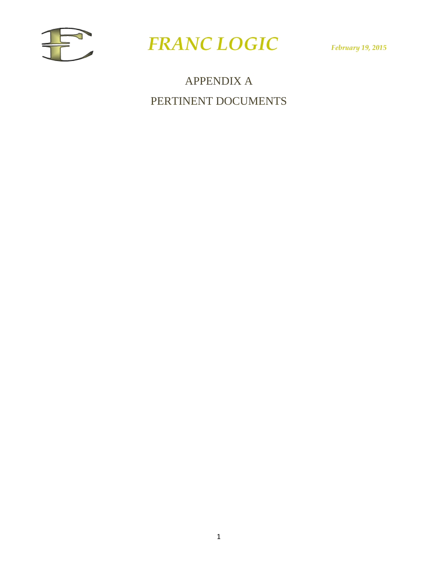



APPENDIX A PERTINENT DOCUMENTS